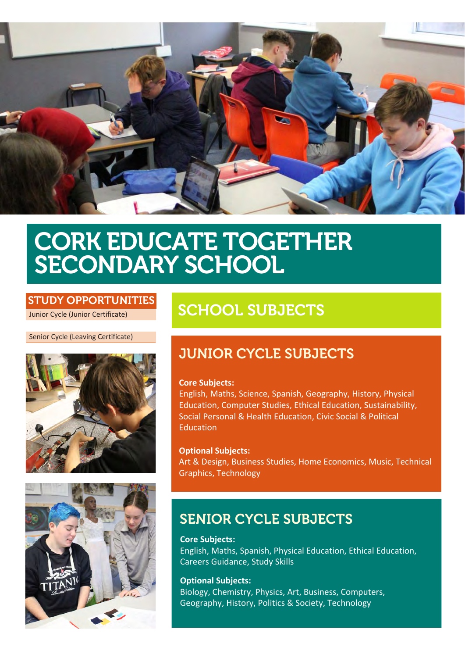

# CORK EDUCATE TOGETHER SECONDARY SCHOOL

### STUDY OPPORTUNITIES

Junior Cycle (Junior Certificate)

Senior Cycle (Leaving Certificate)





# SCHOOL SUBJECTS

## JUNIOR CYCLE SUBJECTS

#### **Core Subjects:**

English, Maths, Science, Spanish, Geography, History, Physical Education, Computer Studies, Ethical Education, Sustainability, Social Personal & Health Education, Civic Social & Political **Education** 

**Optional Subjects:** Art & Design, Business Studies, Home Economics, Music, Technical Graphics, Technology

## SENIOR CYCLE SUBJECTS

**Core Subjects:** English, Maths, Spanish, Physical Education, Ethical Education, Careers Guidance, Study Skills

**Optional Subjects:** Biology, Chemistry, Physics, Art, Business, Computers, Geography, History, Politics & Society, Technology